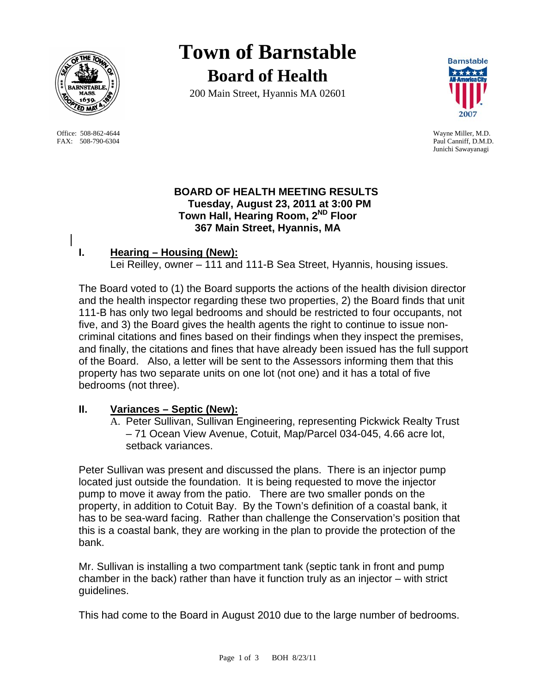

 Office: 508-862-4644 Wayne Miller, M.D. FAX: 508-790-6304 Paul Canniff, D.M.D.

# **Town of Barnstable Board of Health**

200 Main Street, Hyannis MA 02601



Junichi Sawayanagi

## **BOARD OF HEALTH MEETING RESULTS Tuesday, August 23, 2011 at 3:00 PM Town Hall, Hearing Room, 2ND Floor 367 Main Street, Hyannis, MA**

## **I. Hearing – Housing (New):**

Lei Reilley, owner – 111 and 111-B Sea Street, Hyannis, housing issues.

The Board voted to (1) the Board supports the actions of the health division director and the health inspector regarding these two properties, 2) the Board finds that unit 111-B has only two legal bedrooms and should be restricted to four occupants, not five, and 3) the Board gives the health agents the right to continue to issue noncriminal citations and fines based on their findings when they inspect the premises, and finally, the citations and fines that have already been issued has the full support of the Board. Also, a letter will be sent to the Assessors informing them that this property has two separate units on one lot (not one) and it has a total of five bedrooms (not three).

## **II. Variances – Septic (New):**

A. Peter Sullivan, Sullivan Engineering, representing Pickwick Realty Trust – 71 Ocean View Avenue, Cotuit, Map/Parcel 034-045, 4.66 acre lot, setback variances.

Peter Sullivan was present and discussed the plans. There is an injector pump located just outside the foundation. It is being requested to move the injector pump to move it away from the patio. There are two smaller ponds on the property, in addition to Cotuit Bay. By the Town's definition of a coastal bank, it has to be sea-ward facing. Rather than challenge the Conservation's position that this is a coastal bank, they are working in the plan to provide the protection of the bank.

Mr. Sullivan is installing a two compartment tank (septic tank in front and pump chamber in the back) rather than have it function truly as an injector – with strict guidelines.

This had come to the Board in August 2010 due to the large number of bedrooms.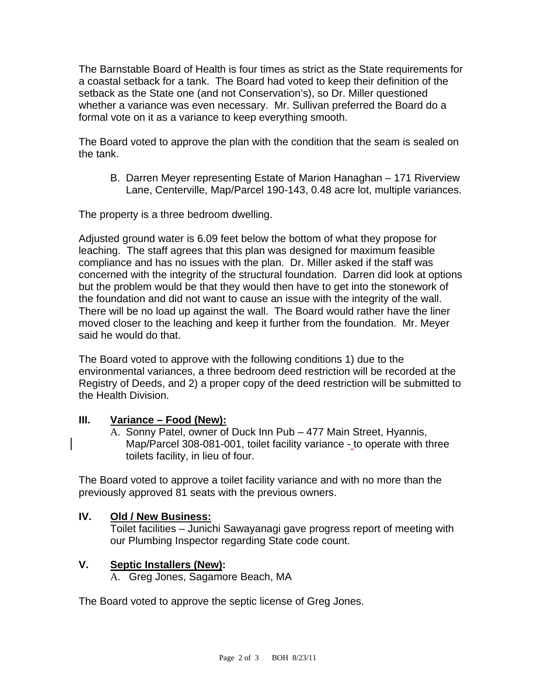The Barnstable Board of Health is four times as strict as the State requirements for a coastal setback for a tank. The Board had voted to keep their definition of the setback as the State one (and not Conservation's), so Dr. Miller questioned whether a variance was even necessary. Mr. Sullivan preferred the Board do a formal vote on it as a variance to keep everything smooth.

The Board voted to approve the plan with the condition that the seam is sealed on the tank.

B. Darren Meyer representing Estate of Marion Hanaghan – 171 Riverview Lane, Centerville, Map/Parcel 190-143, 0.48 acre lot, multiple variances.

The property is a three bedroom dwelling.

Adjusted ground water is 6.09 feet below the bottom of what they propose for leaching. The staff agrees that this plan was designed for maximum feasible compliance and has no issues with the plan. Dr. Miller asked if the staff was concerned with the integrity of the structural foundation. Darren did look at options but the problem would be that they would then have to get into the stonework of the foundation and did not want to cause an issue with the integrity of the wall. There will be no load up against the wall. The Board would rather have the liner moved closer to the leaching and keep it further from the foundation. Mr. Meyer said he would do that.

The Board voted to approve with the following conditions 1) due to the environmental variances, a three bedroom deed restriction will be recorded at the Registry of Deeds, and 2) a proper copy of the deed restriction will be submitted to the Health Division.

#### **III. Variance – Food (New):**

A. Sonny Patel, owner of Duck Inn Pub – 477 Main Street, Hyannis, Map/Parcel 308-081-001, toilet facility variance - to operate with three toilets facility, in lieu of four.

The Board voted to approve a toilet facility variance and with no more than the previously approved 81 seats with the previous owners.

#### **IV. Old / New Business:**

Toilet facilities – Junichi Sawayanagi gave progress report of meeting with our Plumbing Inspector regarding State code count.

#### **V. Septic Installers (New):**

A. Greg Jones, Sagamore Beach, MA

The Board voted to approve the septic license of Greg Jones.